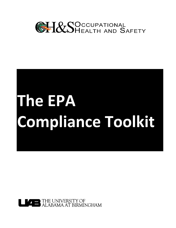

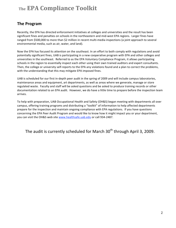#### **The
Program**

Recently, the EPA has directed enforcement initiatives at colleges and universities and the result has been significant fines and penalties on schools in the northeastern and mid-west EPA regions. Larger fines have ranged from \$500,000 to more than \$2 million in recent multi-media inspections (a joint approach to several environmental
media,
such
as
air,
water,
and
land).

Now the EPA has focused its attention on the southeast. In an effort to both comply with regulations and avoid potentially significant fines, UAB is participating in a new cooperative program with EPA and other colleges and universities in the southeast. Referred to as the EPA Voluntary Compliance Program, it allows participating schools in the region to essentially inspect each other using their own trained auditors and expert consultants. Then, the college or university self-reports to the EPA any violations found and a plan to correct the problems, with the understanding that this may mitigate EPA imposed fines.

UAB is scheduled for our first in-depth peer audit in the spring of 2009 and will include campus laboratories, maintenance areas and equipment, art departments, as well as areas where we generate, manage or store regulated waste. Faculty and staff will be asked questions and be asked to produce training records or other documentation related to an EPA audit. However, we do have a little time to prepare before the inspection team arrives.

To help with preparation, UAB Occupational Health and Safety (OH&S) began meeting with departments all over campus, offering training programs and distributing a "toolkit" of information to help affected departments prepare for the inspection and maintain ongoing compliance with EPA regulations. If you have questions concerning the EPA Peer Audit Program and would like to know how it might impact you or your department, you can visit the OH&S web site www.healthsafe.uab.edu or call 934-2487.

The audit is currently scheduled for March  $30<sup>th</sup>$  through April 3, 2009.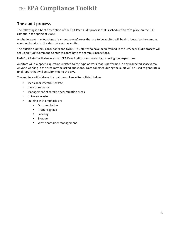#### **The
audit
process**

The following is a brief description of the EPA Peer Audit process that is scheduled to take place on the UAB campus
in
the
spring
of
2009:

A schedule and the locations of campus spaces\areas that are to be audited will be distributed to the campus community prior to the start date of the audits.

The outside auditors, consultants and UAB OH&S staff who have been trained in the EPA peer audit process will set
up
an
Audit
Command
Center
to
coordinate
the
campus
inspections.

UAB
OH&S
staff
will
always
escort
EPA
Peer
Auditors
and
consultants
during
the
inspections.

Auditors will ask specific questions related to the type of work that is performed in any inspected space\area. Anyone working in the area may be asked questions. Data collected during the audit will be used to generate a final
report
that
will
be
submitted
to
the
EPA.

The
auditors
will
address
the
main
compliance
items
listed
below:

- Medical or infectious waste,
- Hazardous
waste
- Management
of
satellite
accumulation
areas
- Universal waste
- Training
with
emphasis
on:
	- **•** Documentation
	- **•** Proper signage
	- **Labeling**
	- **■** Storage
	- Waste
	container
	management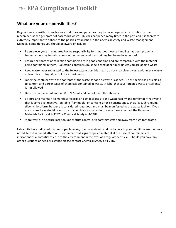#### **What
are
your
responsibilities?**

Regulations are written in such a way that fines and penalties may be levied against an institution or the researcher, as the generator of hazardous waste. This has happened many times in the past and it is therefore extremely important to adhere to the policies established in the Chemical Safety and Waste Management Manual.

Some
things
you
should
be
aware
of
include:

- Be sure everyone in your area having responsibility for hazardous waste handling has been properly trained
according
to
instructions
in
the
manual
and
that
training
has
been
documented.
- Ensure that bottles or collection containers are in good condition and are compatible with the material being contained in them. Collection containers must be closed at all times unless you are adding waste.
- Keep waste types separated to the fullest extent possible. (e.g. do not mix solvent waste with metal waste unless
it
is
an
integral
part
of
the
experiment).
- Label the container with the contents of the waste as soon as waste is added. Be as specific as possible as to content and percentages of chemicals contained in waste. A label that says "organic waste or solvents" is
not
allowed
- Date the container when it is 90 to 95% full and do not overfill containers.
- Be sure and maintain all manifest records on past disposals to the waste facility and remember that waste that is corrosive, reactive, ignitable (flammable) or contains a toxic constituent such as lead, chromium, silver, chloroform, benzene is considered hazardous and must be manifested to the waste facility. If you are
unsure
if
a
material
or
mixture
of
chemicals
is
a
hazardous
waste
please
contact
the
Hazardous Materials
Facility
at
4‐3797
or
Chemical
Safety
at
4‐2487
- Store waste in a secure location under strict control of laboratory staff and away from high foot traffic.

Lab audits have indicated that improper labeling, open containers, and containers in poor condition are the more noted
items
that
need
attention.

Remember
that
signs
of
spilled
material
at
the
base
of
containers
are indications of a potential release to the environment in the eyes of a regulatory official. Should you have any other
questions
or
need
assistance
please
contact
Chemical
Safety
at
4‐2487.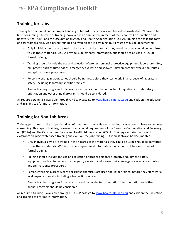#### **Training
for
Labs**

Training lab personnel on the proper handling of hazardous chemicals and hazardous waste doesn't have to be time-consuming. This type of training, however, is an annual requirement of the Resource Conservation and Recovery Act (RCRA) and the Occupational Safety and Health Administration (OSHA). Training can take the form of classroom training, web-based training and even on-the job training. But it must always be documented.

- Only individuals who are trained in the hazards of the materials they could be using should be permitted to use these materials. MSDSs provide supplemental information, but should not be used in lieu of formal
training.
- Training should include the use and selection of proper personal protective equipment; laboratory safety equipment, such as fume hoods, emergency eyewash and shower units; emergency evacuation routes and
spill
response
procedures.
- Persons working in laboratories should be trained, before they start work, in all aspects of laboratory safety,
including
laboratory‐specific
practices.
- Annual training programs for laboratory workers should be conducted. Integration into laboratory orientation
and
other
annual
programs
should
be
considered.

All required training is available through OH&S. Please go to www.healthsafe.uab.edu and click on the Education and
Training
tab
for
more
information.

## **Training
for
Non‐Lab
Areas**

Training personnel on the proper handling of hazardous chemicals and hazardous waste doesn't have to be timeconsuming. This type of training, however, is an annual requirement of the Resource Conservation and Recovery Act (RCRA) and the Occupational Safety and Health Administration (OSHA). Training can take the form of classroom training, web-based training and even on-the job training. But it must always be documented.

- Only individuals who are trained in the hazards of the materials they could be using should be permitted to use these materials. MSDSs provide supplemental information, but should not be used in lieu of formal
training.
- Training should include the use and selection of proper personal protective equipment; safety equipment, such as fume hoods, emergency eyewash and shower units; emergency evacuation routes and
spill
response
procedures.
- Persons working in areas where hazardous chemicals are used should be trained, before they start work, in
all
aspects
of
safety,
including
job‐specific
practices.
- Annual training programs for workers should be conducted. Integration into orientation and other annual
programs
should
be
considered.

All required training is available through OH&S. Please go to www.healthsafe.uab.edu and click on the Education and
Training
tab
for
more
information.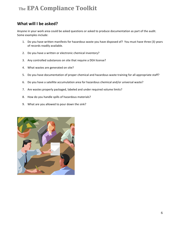#### What will I be asked?

Anyone in your work area could be asked questions or asked to produce documentation as part of the audit. Some
examples
include:

- 1. Do you have written manifests for hazardous waste you have disposed of? You must have three (3) years of
records
readily
available.
- 2. Do
you
have
a
written
or
electronic
chemical
inventory?
- 3. Any
controlled
substances
on
site
that
require
a
DEA
license?
- 4. What
wastes
are
generated
on
site?
- 5. Do you have documentation of proper chemical and hazardous waste training for all appropriate staff?
- 6. Do you have a satellite accumulation area for hazardous chemical and/or universal waste?
- 7. Are
wastes
properly
packaged,
labeled
and
under
required
volume
limits?
- 8. How
do
you
handle
spills
of
hazardous
materials?
- 9. What
are
you
allowed
to
pour
down
the
sink?

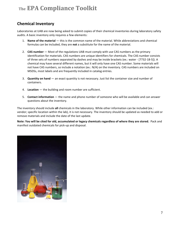## **Chemical
Inventory**

Laboratories at UAB are now being asked to submit copies of their chemical inventories during laboratory safety audits.
A
basic
inventory
only
requires
a
few
elements:

- 1. Name of the material  $-$  this is the common name of the material. While abbreviations and chemical formulas can be included, they are not a substitute for the name of the material.
- 2. **CAS number** Most of the regulations UAB must comply with use CAS numbers as the primary identification for materials. CAS numbers are unique identifiers for chemicals. The CAS number consists of three sets of numbers separated by dashes and may be inside brackets (ex.: water - [7732-18-5]). A chemical may have several different names, but it will only have one CAS number. Some materials will not have CAS numbers, so include a notation (ex.: N/A) on the inventory. CAS numbers are included on MSDSs,
most
labels
and
are
frequently
included
in
catalog
entries.
- 3. **Quantity on hand** an exact quantity is not necessary. Just list the container size and number of containers.
- 4. Location the building and room number are sufficient.
- 5. Contact information the name and phone number of someone who will be available and can answer questions
about
the
inventory.

The inventory should include all chemicals in the laboratory. While other information can be included (ex.: vendor; specific location within the lab), it is not necessary. The inventory should be updated as needed to add or remove
materials
and
include
the
date
of
the
last
update.

Note: You will be cited for old, accumulated or legacy chemicals regardless of where they are stored. Pack and manifest
outdated
chemicals
for
pick‐up
and
disposal.

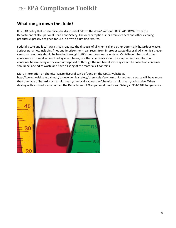#### **What
can
go
down
the
drain?**

It is UAB policy that no chemicals be disposed of "down the drain" without PRIOR APPROVAL from the Department of Occupational Health and Safety. The only exception is for drain cleaners and other cleaning products
expressly
designed
for
use
in
or
with
plumbing
fixtures.

Federal, State and local laws strictly regulate the disposal of all chemical and other potentially hazardous waste. Serious penalties, including fines and imprisonment, can result from improper waste disposal. All chemicals, even very small amounts should be handled through UAB's hazardous waste system. Centrifuge tubes, and other containers
with
small
amounts
of
xylene,
phenol,
or other
chemicals
should
be
emptied
into
a
collection container
before
being
autoclaved
or
disposed
of
through
the
red
barrel
waste
system.
The
collection container should
be
labeled
as
waste
and
have
a
listing
of
the
materials
it
contains.

More information on chemical waste disposal can be found on the OH&S website at http://www.healthsafe.uab.edu/pages/chemicalsafety/chemicalsafety.html . Sometimes a waste will have more than one type of hazard, such as biohazard/chemical, radioactive/chemical or biohazard/radioactive. When dealing with a mixed waste contact the Department of Occupational Health and Safety at 934-2487 for guidance.

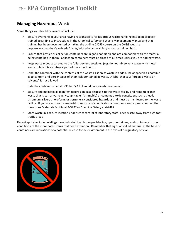#### **Managing
Hazardous
Waste**

Some
things
you
should
be
aware
of
include:

- Be sure everyone in your area having responsibility for hazardous waste handling has been properly trained according to instructions in the Chemical Safety and Waste Management Manual and that training has been documented by taking the on-line CS055 course on the OH&S website http://www.healthsafe.uab.edu/pages/educationandtraining/hazwastetraining.html.
- Ensure that bottles or collection containers are in good condition and are compatible with the material being contained in them. Collection containers must be closed at all times unless you are adding waste.
- Keep waste types separated to the fullest extent possible. (e.g. do not mix solvent waste with metal waste unless it is an integral part of the experiment).
- Label the container with the contents of the waste as soon as waste is added. Be as specific as possible as to content and percentages of chemicals contained in waste. A label that says "organic waste or solvents"
is
not
allowed
- Date the container when it is 90 to 95% full and do not overfill containers.
- Be sure and maintain all manifest records on past disposals to the waste facility and remember that waste that is corrosive, reactive, ignitable (flammable) or contains a toxic constituent such as lead, chromium, silver, chloroform, or benzene is considered hazardous and must be manifested to the waste facility. If you are unsure if a material or mixture of chemicals is a hazardous waste please contact the Hazardous Materials Facility at 4-3797 or Chemical Safety at 4-2487
- Store waste in a secure location under strict control of laboratory staff. Keep waste away from high foot traffic areas.

Recent spot checks in buildings have indicated that improper labeling, open containers, and containers in poor condition are the more noted items that need attention. Remember that signs of spilled material at the base of containers are indications of a potential release to the environment in the eyes of a regulatory official.

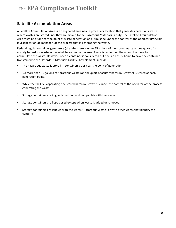#### **Satellite
Accumulation
Areas**

A Satellite Accumulation Area is a designated area near a process or location that generates hazardous waste where wastes are stored until they are moved to the Hazardous Materials Facility. The Satellite Accumulation Area
must
be
at
or
near
the
point
of
waste
generation
and
it
must
be
under
the
control
of
the
operator
(Principle Investigator or lab manager) of the process that is generating the waste.

Federal regulations allow generators (the lab) to store up to 55 gallons of hazardous waste or one quart of an acutely hazardous waste in the satellite accumulation area. There is no limit on the amount of time to accumulate
the
waste.
However,
once
a
container
is
considered
full,
the
lab
has
72
hours
to
have
the
container transferred
to
the
Hazardous
Materials
Facility.

Key
elements
include:

- The hazardous waste is stored in containers at or near the point of generation.
- No more than 55 gallons of hazardous waste (or one quart of acutely hazardous waste) is stored at each generation
point.
- While the facility is operating, the stored hazardous waste is under the control of the operator of the process generating
the
waste.
- Storage containers are in good condition and compatible with the waste.
- Storage containers are kept closed except when waste is added or removed.
- Storage containers are labeled with the words "Hazardous Waste" or with other words that identify the contents.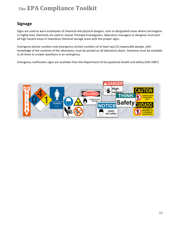#### **Signage**

Signs are used to warn employees of chemical and physical dangers, such as designated areas where carcinogens or
highly
toxic
chemicals
are
used
or
stored.
Principal
Investigators,
laboratory
managers
or
designee
must
post all high hazard areas or hazardous chemical storage areas with the proper signs.

Emergency phone numbers and emergency contact numbers of at least two (2) responsible people, with knowledge of the contents of the laboratory, must be posted on all laboratory doors. Someone must be available at
all
times
to
answer
questions
in
an
emergency.

Emergency notification signs are available from the Department of Occupational Health and Safety (934-2487).